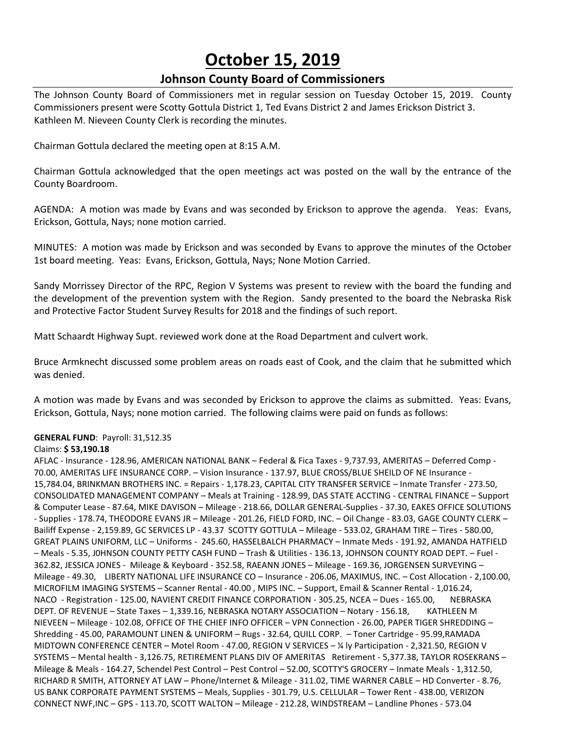# **October 15, 2019**

## **Johnson County Board of Commissioners**

The Johnson County Board of Commissioners met in regular session on Tuesday October 15, 2019. County Commissioners present were Scotty Gottula District 1, Ted Evans District 2 and James Erickson District 3. Kathleen M. Nieveen County Clerk is recording the minutes.

Chairman Gottula declared the meeting open at 8:15 A.M.

Chairman Gottula acknowledged that the open meetings act was posted on the wall by the entrance of the County Boardroom.

AGENDA: A motion was made by Evans and was seconded by Erickson to approve the agenda. Yeas: Evans, Erickson, Gottula, Nays; none motion carried.

MINUTES: A motion was made by Erickson and was seconded by Evans to approve the minutes of the October 1st board meeting. Yeas: Evans, Erickson, Gottula, Nays; None Motion Carried.

Sandy Morrissey Director of the RPC, Region V Systems was present to review with the board the funding and the development of the prevention system with the Region. Sandy presented to the board the Nebraska Risk and Protective Factor Student Survey Results for 2018 and the findings of such report.

Matt Schaardt Highway Supt. reviewed work done at the Road Department and culvert work.

Bruce Armknecht discussed some problem areas on roads east of Cook, and the claim that he submitted which was denied.

A motion was made by Evans and was seconded by Erickson to approve the claims as submitted. Yeas: Evans, Erickson, Gottula, Nays; none motion carried. The following claims were paid on funds as follows:

#### **GENERAL FUND**: Payroll: 31,512.35

#### Claims: **\$ 53,190.18**

AFLAC - Insurance - 128.96, AMERICAN NATIONAL BANK – Federal & Fica Taxes - 9,737.93, AMERITAS – Deferred Comp - 70.00, AMERITAS LIFE INSURANCE CORP. – Vision Insurance - 137.97, BLUE CROSS/BLUE SHEILD OF NE Insurance - 15,784.04, BRINKMAN BROTHERS INC. = Repairs - 1,178.23, CAPITAL CITY TRANSFER SERVICE – Inmate Transfer - 273.50, CONSOLIDATED MANAGEMENT COMPANY – Meals at Training - 128.99, DAS STATE ACCTING - CENTRAL FINANCE – Support & Computer Lease - 87.64, MIKE DAVISON – Mileage - 218.66, DOLLAR GENERAL-Supplies - 37.30, EAKES OFFICE SOLUTIONS - Supplies - 178.74, THEODORE EVANS JR – Mileage - 201.26, FIELD FORD, INC. – Oil Change - 83.03, GAGE COUNTY CLERK – Bailiff Expense - 2,159.89, GC SERVICES LP - 43.37 SCOTTY GOTTULA – Mileage - 533.02, GRAHAM TIRE – Tires - 580.00, GREAT PLAINS UNIFORM, LLC – Uniforms - 245.60, HASSELBALCH PHARMACY – Inmate Meds - 191.92, AMANDA HATFIELD – Meals - 5.35, J0HNSON COUNTY PETTY CASH FUND – Trash & Utilities - 136.13, JOHNSON COUNTY ROAD DEPT. – Fuel - 362.82, JESSICA JONES - Mileage & Keyboard - 352.58, RAEANN JONES – Mileage - 169.36, JORGENSEN SURVEYING – Mileage - 49.30, LIBERTY NATIONAL LIFE INSURANCE CO – Insurance - 206.06, MAXIMUS, INC. – Cost Allocation - 2,100.00, MICROFILM IMAGING SYSTEMS – Scanner Rental - 40.00 , MIPS INC. – Support, Email & Scanner Rental - 1,016.24, NACO - Registration - 125.00, NAVIENT CREDIT FINANCE CORPORATION - 305.25, NCEA – Dues - 165.00, NEBRASKA DEPT. OF REVENUE - State Taxes - 1,339.16, NEBRASKA NOTARY ASSOCIATION - Notary - 156.18, KATHLEEN M NIEVEEN – Mileage - 102.08, OFFICE OF THE CHIEF INFO OFFICER – VPN Connection - 26.00, PAPER TIGER SHREDDING – Shredding - 45.00, PARAMOUNT LINEN & UNIFORM – Rugs - 32.64, QUILL CORP. – Toner Cartridge - 95.99,RAMADA MIDTOWN CONFERENCE CENTER – Motel Room - 47.00, REGION V SERVICES – ¼ ly Participation - 2,321.50, REGION V SYSTEMS – Mental health - 3,126.75, RETIREMENT PLANS DIV OF AMERITAS Retirement - 5,377.38, TAYLOR ROSEKRANS – Mileage & Meals - 164.27, Schendel Pest Control – Pest Control – 52.00, SCOTTY'S GROCERY – Inmate Meals - 1,312.50, RICHARD R SMITH, ATTORNEY AT LAW – Phone/Internet & Mileage - 311.02, TIME WARNER CABLE – HD Converter - 8.76, US BANK CORPORATE PAYMENT SYSTEMS – Meals, Supplies - 301.79, U.S. CELLULAR – Tower Rent - 438.00, VERIZON CONNECT NWF,INC – GPS - 113.70, SCOTT WALTON – Mileage - 212.28, WINDSTREAM – Landline Phones - 573.04